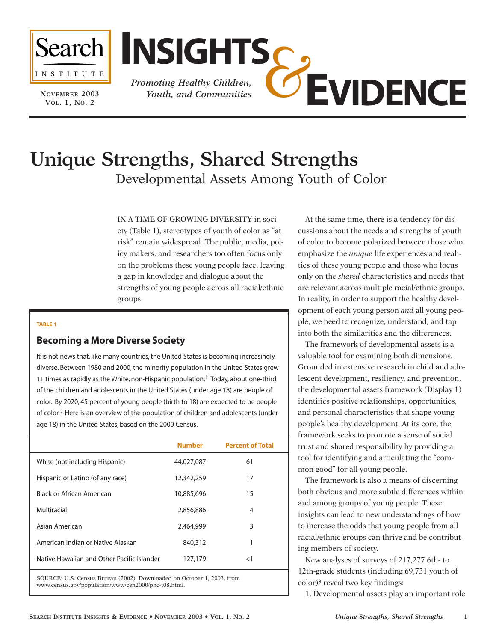

**NOVEMBER 2003 VOL. 1, NO. 2**



# **Unique Strengths, Shared Strengths** Developmental Assets Among Youth of Color

IN A TIME OF GROWING DIVERSITY in society (Table 1), stereotypes of youth of color as "at

risk" remain widespread. The public, media, policy makers, and researchers too often focus only on the problems these young people face, leaving a gap in knowledge and dialogue about the strengths of young people across all racial/ethnic groups.

#### **TABLE 1**

### **Becoming a More Diverse Society**

It is not news that, like many countries, the United States is becoming increasingly diverse. Between 1980 and 2000, the minority population in the United States grew 11 times as rapidly as the White, non-Hispanic population.<sup>1</sup> Today, about one-third of the children and adolescents in the United States (under age 18) are people of color. By 2020, 45 percent of young people (birth to 18) are expected to be people of color.2 Here is an overview of the population of children and adolescents (under age 18) in the United States, based on the 2000 Census.

|                                            | <b>Number</b>  | <b>Percent of Total</b> |
|--------------------------------------------|----------------|-------------------------|
| White (not including Hispanic)             | 44,027,087     | 61                      |
| Hispanic or Latino (of any race)           | 12,342,259     | 17                      |
| Black or African American                  | 10,885,696     | 15                      |
| Multiracial                                | 2,856,886      | 4                       |
| Asian American                             | 2,464,999      | 3                       |
| American Indian or Native Alaskan          | 840,312        | 1                       |
| Native Hawaiian and Other Pacific Islander | 127,179        | $<$ 1                   |
|                                            | $\blacksquare$ |                         |

SOURCE: U.S. Census Bureau (2002). Downloaded on October 1, 2003, from www.census.gov/population/www/cen2000/phc-t08.html.

At the same time, there is a tendency for discussions about the needs and strengths of youth of color to become polarized between those who emphasize the *unique* life experiences and realities of these young people and those who focus only on the *shared* characteristics and needs that are relevant across multiple racial/ethnic groups. In reality, in order to support the healthy development of each young person *and* all young people, we need to recognize, understand, and tap into both the similarities and the differences.

The framework of developmental assets is a valuable tool for examining both dimensions. Grounded in extensive research in child and adolescent development, resiliency, and prevention, the developmental assets framework (Display 1) identifies positive relationships, opportunities, and personal characteristics that shape young people's healthy development. At its core, the framework seeks to promote a sense of social trust and shared responsibility by providing a tool for identifying and articulating the "common good" for all young people.

The framework is also a means of discerning both obvious and more subtle differences within and among groups of young people. These insights can lead to new understandings of how to increase the odds that young people from all racial/ethnic groups can thrive and be contributing members of society.

New analyses of surveys of 217,277 6th- to 12th-grade students (including 69,731 youth of color)3 reveal two key findings:

1. Developmental assets play an important role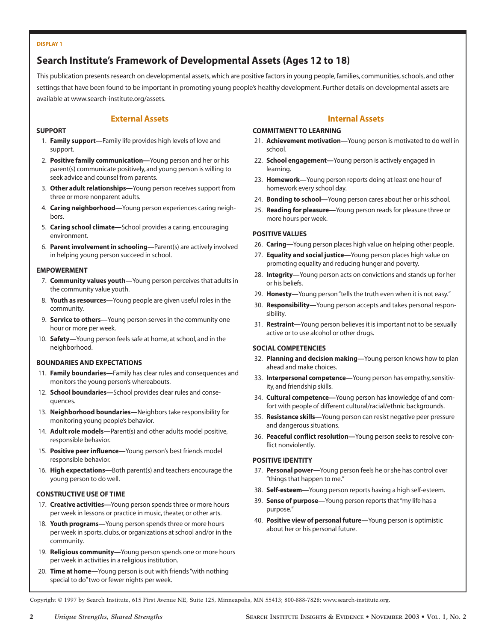#### **DISPLAY 1**

# **Search Institute's Framework of Developmental Assets (Ages 12 to 18)**

This publication presents research on developmental assets, which are positive factors in young people, families, communities, schools, and other settings that have been found to be important in promoting young people's healthy development. Further details on developmental assets are available at www.search-institute.org/assets.

### **External Assets**

#### **SUPPORT**

- 1. **Family support—**Family life provides high levels of love and support.
- 2. **Positive family communication—**Young person and her or his parent(s) communicate positively, and young person is willing to seek advice and counsel from parents.
- 3. **Other adult relationships—**Young person receives support from three or more nonparent adults.
- 4. **Caring neighborhood—**Young person experiences caring neighbors.
- 5. **Caring school climate—**School provides a caring, encouraging environment.
- 6. **Parent involvement in schooling—**Parent(s) are actively involved in helping young person succeed in school.

### **EMPOWERMENT**

- 7. **Community values youth—**Young person perceives that adults in the community value youth.
- 8. **Youth as resources—**Young people are given useful roles in the community.
- 9. **Service to others—**Young person serves in the community one hour or more per week.
- 10. **Safety—**Young person feels safe at home, at school, and in the neighborhood.

#### **BOUNDARIES AND EXPECTATIONS**

- 11. **Family boundaries—**Family has clear rules and consequences and monitors the young person's whereabouts.
- 12. **School boundaries—**School provides clear rules and consequences.
- 13. **Neighborhood boundaries—**Neighbors take responsibility for monitoring young people's behavior.
- 14. **Adult role models—**Parent(s) and other adults model positive, responsible behavior.
- 15. **Positive peer influence—**Young person's best friends model responsible behavior.
- 16. **High expectations—**Both parent(s) and teachers encourage the young person to do well.

#### **CONSTRUCTIVE USE OF TIME**

- 17. **Creative activities—**Young person spends three or more hours per week in lessons or practice in music, theater, or other arts.
- 18. **Youth programs—**Young person spends three or more hours per week in sports, clubs, or organizations at school and/or in the community.
- 19. **Religious community—**Young person spends one or more hours per week in activities in a religious institution.
- 20. **Time at home—**Young person is out with friends "with nothing special to do"two or fewer nights per week.

### **Internal Assets**

#### **COMMITMENT TO LEARNING**

- 21. **Achievement motivation—**Young person is motivated to do well in school.
- 22. **School engagement—**Young person is actively engaged in learning.
- 23. **Homework—**Young person reports doing at least one hour of homework every school day.
- 24. **Bonding to school—**Young person cares about her or his school.
- 25. **Reading for pleasure—**Young person reads for pleasure three or more hours per week.

#### **POSITIVE VALUES**

- 26. **Caring—**Young person places high value on helping other people.
- 27. **Equality and social justice—**Young person places high value on promoting equality and reducing hunger and poverty.
- 28. **Integrity—**Young person acts on convictions and stands up for her or his beliefs.
- 29. **Honesty—**Young person "tells the truth even when it is not easy."
- 30. **Responsibility—**Young person accepts and takes personal responsibility.
- 31. **Restraint—**Young person believes it is important not to be sexually active or to use alcohol or other drugs.

#### **SOCIAL COMPETENCIES**

- 32. **Planning and decision making—**Young person knows how to plan ahead and make choices.
- 33. **Interpersonal competence—**Young person has empathy, sensitivity, and friendship skills.
- 34. **Cultural competence—**Young person has knowledge of and comfort with people of different cultural/racial/ethnic backgrounds.
- 35. **Resistance skills—**Young person can resist negative peer pressure and dangerous situations.
- 36. **Peaceful conflict resolution—**Young person seeks to resolve conflict nonviolently.

#### **POSITIVE IDENTITY**

- 37. **Personal power—**Young person feels he or she has control over "things that happen to me."
- 38. **Self-esteem—**Young person reports having a high self-esteem.
- 39. **Sense of purpose—**Young person reports that "my life has a purpose."
- 40. **Positive view of personal future—**Young person is optimistic about her or his personal future.

Copyright © 1997 by Search Institute, 615 First Avenue NE, Suite 125, Minneapolis, MN 55413; 800-888-7828; www.search-institute.org.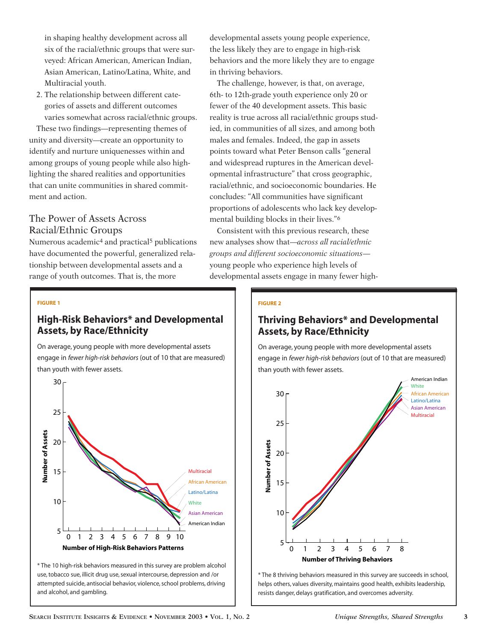in shaping healthy development across all six of the racial/ethnic groups that were surveyed: African American, American Indian, Asian American, Latino/Latina, White, and Multiracial youth.

2. The relationship between different categories of assets and different outcomes varies somewhat across racial/ethnic groups.

These two findings—representing themes of unity and diversity—create an opportunity to identify and nurture uniquenesses within and among groups of young people while also highlighting the shared realities and opportunities that can unite communities in shared commitment and action.

# The Power of Assets Across Racial/Ethnic Groups

Numerous academic4 and practical5 publications have documented the powerful, generalized relationship between developmental assets and a range of youth outcomes. That is, the more

developmental assets young people experience, the less likely they are to engage in high-risk behaviors and the more likely they are to engage in thriving behaviors.

The challenge, however, is that, on average, 6th- to 12th-grade youth experience only 20 or fewer of the 40 development assets. This basic reality is true across all racial/ethnic groups studied, in communities of all sizes, and among both males and females. Indeed, the gap in assets points toward what Peter Benson calls "general and widespread ruptures in the American developmental infrastructure" that cross geographic, racial/ethnic, and socioeconomic boundaries. He concludes: "All communities have significant proportions of adolescents who lack key developmental building blocks in their lives."6

Consistent with this previous research, these new analyses show that—*across all racial/ethnic groups and different socioeconomic situations* young people who experience high levels of developmental assets engage in many fewer high-

### **FIGURE 1**

### **High-Risk Behaviors\* and Developmental Assets, by Race/Ethnicity**

On average, young people with more developmental assets engage in *fewer high-risk behaviors* (out of 10 that are measured) than youth with fewer assets.



\* The 10 high-risk behaviors measured in this survey are problem alcohol use, tobacco sue, illicit drug use, sexual intercourse, depression and /or attempted suicide, antisocial behavior, violence, school problems, driving and alcohol, and gambling.

#### **FIGURE 2**

# **Thriving Behaviors\* and Developmental Assets, by Race/Ethnicity**

On average, young people with more developmental assets engage in *fewer high-risk behaviors* (out of 10 that are measured) than youth with fewer assets.



\* The 8 thriving behaviors measured in this survey are succeeds in school, helps others, values diversity, maintains good health, exhibits leadership, resists danger, delays gratification, and overcomes adversity.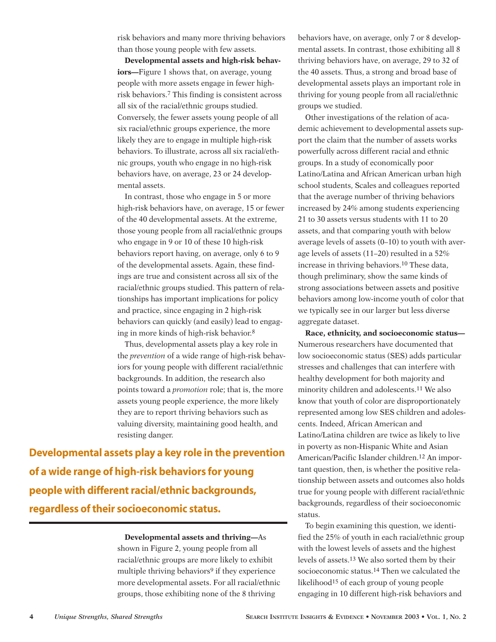risk behaviors and many more thriving behaviors than those young people with few assets.

**Developmental assets and high-risk behaviors—**Figure 1 shows that, on average, young people with more assets engage in fewer highrisk behaviors.7 This finding is consistent across all six of the racial/ethnic groups studied. Conversely, the fewer assets young people of all six racial/ethnic groups experience, the more likely they are to engage in multiple high-risk behaviors. To illustrate, across all six racial/ethnic groups, youth who engage in no high-risk behaviors have, on average, 23 or 24 developmental assets.

In contrast, those who engage in 5 or more high-risk behaviors have, on average, 15 or fewer of the 40 developmental assets. At the extreme, those young people from all racial/ethnic groups who engage in 9 or 10 of these 10 high-risk behaviors report having, on average, only 6 to 9 of the developmental assets. Again, these findings are true and consistent across all six of the racial/ethnic groups studied. This pattern of relationships has important implications for policy and practice, since engaging in 2 high-risk behaviors can quickly (and easily) lead to engaging in more kinds of high-risk behavior.8

Thus, developmental assets play a key role in the *prevention* of a wide range of high-risk behaviors for young people with different racial/ethnic backgrounds. In addition, the research also points toward a *promotion* role; that is, the more assets young people experience, the more likely they are to report thriving behaviors such as valuing diversity, maintaining good health, and resisting danger.

**Developmental assets play a key role in the prevention of a wide range of high-risk behaviors for young people with different racial/ethnic backgrounds, regardless of their socioeconomic status.**

### **Developmental assets and thriving—**As

shown in Figure 2, young people from all racial/ethnic groups are more likely to exhibit multiple thriving behaviors<sup>9</sup> if they experience more developmental assets. For all racial/ethnic groups, those exhibiting none of the 8 thriving

behaviors have, on average, only 7 or 8 developmental assets. In contrast, those exhibiting all 8 thriving behaviors have, on average, 29 to 32 of the 40 assets. Thus, a strong and broad base of developmental assets plays an important role in thriving for young people from all racial/ethnic groups we studied.

Other investigations of the relation of academic achievement to developmental assets support the claim that the number of assets works powerfully across different racial and ethnic groups. In a study of economically poor Latino/Latina and African American urban high school students, Scales and colleagues reported that the average number of thriving behaviors increased by 24% among students experiencing 21 to 30 assets versus students with 11 to 20 assets, and that comparing youth with below average levels of assets (0–10) to youth with average levels of assets (11–20) resulted in a 52% increase in thriving behaviors.10 These data, though preliminary, show the same kinds of strong associations between assets and positive behaviors among low-income youth of color that we typically see in our larger but less diverse aggregate dataset.

**Race, ethnicity, and socioeconomic status—** Numerous researchers have documented that low socioeconomic status (SES) adds particular stresses and challenges that can interfere with healthy development for both majority and minority children and adolescents.11 We also know that youth of color are disproportionately represented among low SES children and adolescents. Indeed, African American and Latino/Latina children are twice as likely to live in poverty as non-Hispanic White and Asian American/Pacific Islander children.12 An important question, then, is whether the positive relationship between assets and outcomes also holds true for young people with different racial/ethnic backgrounds, regardless of their socioeconomic status.

To begin examining this question, we identified the 25% of youth in each racial/ethnic group with the lowest levels of assets and the highest levels of assets.13 We also sorted them by their socioeconomic status.14 Then we calculated the likelihood15 of each group of young people engaging in 10 different high-risk behaviors and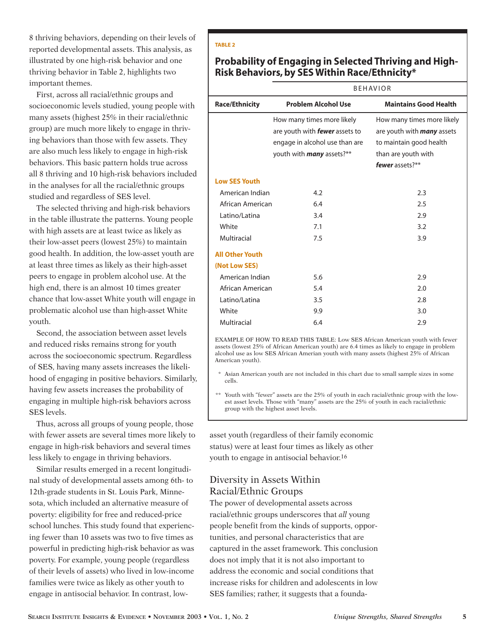8 thriving behaviors, depending on their levels of reported developmental assets. This analysis, as illustrated by one high-risk behavior and one thriving behavior in Table 2, highlights two important themes.

First, across all racial/ethnic groups and socioeconomic levels studied, young people with many assets (highest 25% in their racial/ethnic group) are much more likely to engage in thriving behaviors than those with few assets. They are also much less likely to engage in high-risk behaviors. This basic pattern holds true across all 8 thriving and 10 high-risk behaviors included in the analyses for all the racial/ethnic groups studied and regardless of SES level.

The selected thriving and high-risk behaviors in the table illustrate the patterns. Young people with high assets are at least twice as likely as their low-asset peers (lowest 25%) to maintain good health. In addition, the low-asset youth are at least three times as likely as their high-asset peers to engage in problem alcohol use. At the high end, there is an almost 10 times greater chance that low-asset White youth will engage in problematic alcohol use than high-asset White youth.

Second, the association between asset levels and reduced risks remains strong for youth across the socioeconomic spectrum. Regardless of SES, having many assets increases the likelihood of engaging in positive behaviors. Similarly, having few assets increases the probability of engaging in multiple high-risk behaviors across SES levels.

Thus, across all groups of young people, those with fewer assets are several times more likely to engage in high-risk behaviors and several times less likely to engage in thriving behaviors.

Similar results emerged in a recent longitudinal study of developmental assets among 6th- to 12th-grade students in St. Louis Park, Minnesota, which included an alternative measure of poverty: eligibility for free and reduced-price school lunches. This study found that experiencing fewer than 10 assets was two to five times as powerful in predicting high-risk behavior as was poverty. For example, young people (regardless of their levels of assets) who lived in low-income families were twice as likely as other youth to engage in antisocial behavior. In contrast, low-

#### **TABLE 2**

## **Probability of Engaging in Selected Thriving and High-Risk Behaviors, by SES Within Race/Ethnicity\***

#### BEHAVIOR

| <b>Race/Ethnicity</b>  | <b>Problem Alcohol Use</b>            | <b>Maintains Good Health</b>      |  |  |  |
|------------------------|---------------------------------------|-----------------------------------|--|--|--|
|                        | How many times more likely            | How many times more likely        |  |  |  |
|                        | are youth with <b>fewer</b> assets to | are youth with <b>many</b> assets |  |  |  |
|                        | engage in alcohol use than are        | to maintain good health           |  |  |  |
|                        | youth with <b>many</b> assets?**      | than are youth with               |  |  |  |
|                        |                                       | fewer assets?**                   |  |  |  |
| <b>Low SES Youth</b>   |                                       |                                   |  |  |  |
| American Indian        | 4.2                                   | 2.3                               |  |  |  |
| African American       | 6.4                                   | 2.5                               |  |  |  |
| Latino/Latina          | 3.4                                   | 2.9                               |  |  |  |
| White                  | 7.1                                   | 3.2                               |  |  |  |
| Multiracial            | 7.5                                   | 3.9                               |  |  |  |
| <b>All Other Youth</b> |                                       |                                   |  |  |  |
| (Not Low SES)          |                                       |                                   |  |  |  |
| American Indian        | 5.6                                   | 2.9                               |  |  |  |
| African American       | 5.4                                   | 2.0                               |  |  |  |
| Latino/Latina          | 3.5                                   | 2.8                               |  |  |  |
| White                  | 9.9                                   | 3.0                               |  |  |  |
| Multiracial            | 6.4                                   | 2.9                               |  |  |  |

EXAMPLE OF HOW TO READ THIS TABLE: Low SES African American youth with fewer assets (lowest 25% of African American youth) are 6.4 times as likely to engage in problem alcohol use as low SES African Amerian youth with many assets (highest 25% of African American youth).

Asian American youth are not included in this chart due to small sample sizes in some cells.

\*\* Youth with "fewer" assets are the 25% of youth in each racial/ethnic group with the lowest asset levels. Those with "many" assets are the 25% of youth in each racial/ethnic group with the highest asset levels.

asset youth (regardless of their family economic status) were at least four times as likely as other youth to engage in antisocial behavior.16

### Diversity in Assets Within Racial/Ethnic Groups

The power of developmental assets across racial/ethnic groups underscores that *all* young people benefit from the kinds of supports, opportunities, and personal characteristics that are captured in the asset framework. This conclusion does not imply that it is not also important to address the economic and social conditions that increase risks for children and adolescents in low SES families; rather, it suggests that a founda-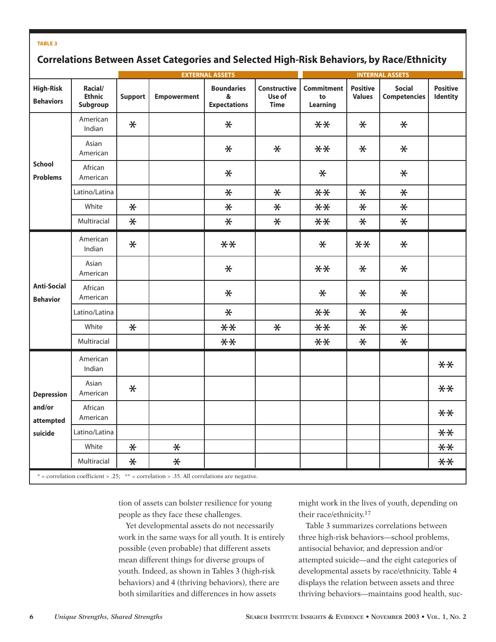#### **TABLE 3**

# **Correlations Between Asset Categories and Selected High-Risk Behaviors, by Race/Ethnicity**

|                                                     |                                      |                |                    | <b>EXTERNAL ASSETS</b>                        | <b>INTERNAL ASSETS</b>                |                                     |                                  |                                      |                             |
|-----------------------------------------------------|--------------------------------------|----------------|--------------------|-----------------------------------------------|---------------------------------------|-------------------------------------|----------------------------------|--------------------------------------|-----------------------------|
| <b>High-Risk</b><br><b>Behaviors</b>                | Racial/<br><b>Ethnic</b><br>Subgroup | <b>Support</b> | <b>Empowerment</b> | <b>Boundaries</b><br>&<br><b>Expectations</b> | Constructive<br>Use of<br><b>Time</b> | <b>Commitment</b><br>to<br>Learning | <b>Positive</b><br><b>Values</b> | <b>Social</b><br><b>Competencies</b> | <b>Positive</b><br>Identity |
| <b>School</b><br><b>Problems</b>                    | American<br>Indian                   | $\ast$         |                    | $\ast$                                        |                                       | $**$                                | $\ast$                           | $\ast$                               |                             |
|                                                     | Asian<br>American                    |                |                    | $\ast$                                        | $\ast$                                | $**$                                | $\ast$                           | $\ast$                               |                             |
|                                                     | African<br>American                  |                |                    | $\ast$                                        |                                       | $\ast$                              |                                  | $\ast$                               |                             |
|                                                     | Latino/Latina                        |                |                    | $\ast$                                        | $\ast$                                | $**$                                | $\ast$                           | $\ast$                               |                             |
|                                                     | White                                | $\ast$         |                    | $\ast$                                        | $\ast$                                | $**$                                | $\ast$                           | $\ast$                               |                             |
|                                                     | Multiracial                          | $\ast$         |                    | $\ast$                                        | $\ast$                                | $**$                                | $\ast$                           | $\ast$                               |                             |
| <b>Anti-Social</b><br><b>Behavior</b>               | American<br>Indian                   | $\ast$         |                    | $**$                                          |                                       | $\ast$                              | $**$                             | $\ast$                               |                             |
|                                                     | Asian<br>American                    |                |                    | $\ast$                                        |                                       | $**$                                | $\ast$                           | $\ast$                               |                             |
|                                                     | African<br>American                  |                |                    | $\ast$                                        |                                       | $\ast$                              | $\ast$                           | $\ast$                               |                             |
|                                                     | Latino/Latina                        |                |                    | $\ast$                                        |                                       | $**$                                | $\ast$                           | $\ast$                               |                             |
|                                                     | White                                | $\ast$         |                    | $**$                                          | $\ast$                                | $**$                                | $\ast$                           | $\ast$                               |                             |
|                                                     | Multiracial                          |                |                    | $**$                                          |                                       | $**$                                | $\ast$                           | $\ast$                               |                             |
| <b>Depression</b><br>and/or<br>attempted<br>suicide | American<br>Indian                   |                |                    |                                               |                                       |                                     |                                  |                                      | $**$                        |
|                                                     | Asian<br>American                    | $\ast$         |                    |                                               |                                       |                                     |                                  |                                      | $**$                        |
|                                                     | African<br>American                  |                |                    |                                               |                                       |                                     |                                  |                                      | $**$                        |
|                                                     | Latino/Latina                        |                |                    |                                               |                                       |                                     |                                  |                                      | $**$                        |
|                                                     | White                                | $\ast$         | $\ast$             |                                               |                                       |                                     |                                  |                                      | $**$                        |
|                                                     | Multiracial                          | $\ast$         | $\ast$             |                                               |                                       |                                     |                                  |                                      | $**$                        |

tion of assets can bolster resilience for young people as they face these challenges.

Yet developmental assets do not necessarily work in the same ways for all youth. It is entirely possible (even probable) that different assets mean different things for diverse groups of youth. Indeed, as shown in Tables 3 (high-risk behaviors) and 4 (thriving behaviors), there are both similarities and differences in how assets

might work in the lives of youth, depending on their race/ethnicity.17

Table 3 summarizes correlations between three high-risk behaviors—school problems, antisocial behavior, and depression and/or attempted suicide—and the eight categories of developmental assets by race/ethnicity. Table 4 displays the relation between assets and three thriving behaviors—maintains good health, suc-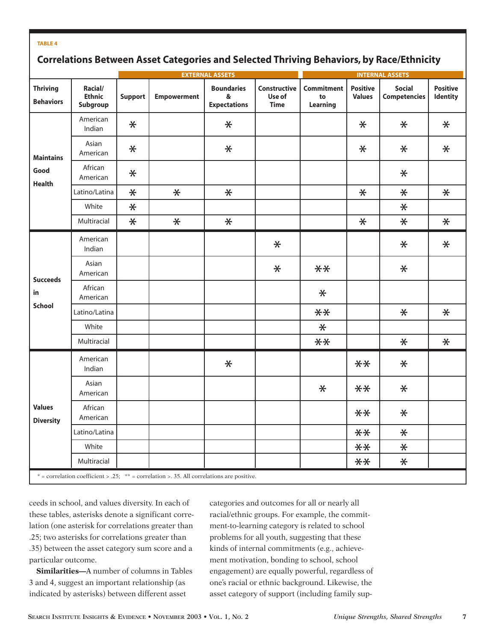#### **TABLE 4**

# **Correlations Between Asset Categories and Selected Thriving Behaviors, by Race/Ethnicity**

|                                                                                             |                                      |                | <b>EXTERNAL ASSETS</b> |                                               |                                       |                                     | <b>INTERNAL ASSETS</b>           |                                      |                                    |  |
|---------------------------------------------------------------------------------------------|--------------------------------------|----------------|------------------------|-----------------------------------------------|---------------------------------------|-------------------------------------|----------------------------------|--------------------------------------|------------------------------------|--|
| <b>Thriving</b><br><b>Behaviors</b>                                                         | Racial/<br><b>Ethnic</b><br>Subgroup | <b>Support</b> | <b>Empowerment</b>     | <b>Boundaries</b><br>&<br><b>Expectations</b> | Constructive<br>Use of<br><b>Time</b> | <b>Commitment</b><br>to<br>Learning | <b>Positive</b><br><b>Values</b> | <b>Social</b><br><b>Competencies</b> | <b>Positive</b><br><b>Identity</b> |  |
| <b>Maintains</b><br>Good<br><b>Health</b>                                                   | American<br>Indian                   | $\ast$         |                        | $\ast$                                        |                                       |                                     | $\ast$                           | $\ast$                               | $\ast$                             |  |
|                                                                                             | Asian<br>American                    | $\ast$         |                        | $\ast$                                        |                                       |                                     | $\ast$                           | $\ast$                               | $\ast$                             |  |
|                                                                                             | African<br>American                  | $\ast$         |                        |                                               |                                       |                                     |                                  | $\ast$                               |                                    |  |
|                                                                                             | Latino/Latina                        | $\ast$         | $\ast$                 | $\ast$                                        |                                       |                                     | $\ast$                           | $\ast$                               | $\ast$                             |  |
|                                                                                             | White                                | $\ast$         |                        |                                               |                                       |                                     |                                  | $\ast$                               |                                    |  |
|                                                                                             | Multiracial                          | $\ast$         | $\ast$                 | $\ast$                                        |                                       |                                     | $\pmb{\times}$                   | $\ast$                               | $\ast$                             |  |
| <b>Succeeds</b><br>in                                                                       | American<br>Indian                   |                |                        |                                               | $\ast$                                |                                     |                                  | $\ast$                               | $\ast$                             |  |
|                                                                                             | Asian<br>American                    |                |                        |                                               | $\ast$                                | $**$                                |                                  | $\ast$                               |                                    |  |
|                                                                                             | African<br>American                  |                |                        |                                               |                                       | $\ast$                              |                                  |                                      |                                    |  |
| <b>School</b>                                                                               | Latino/Latina                        |                |                        |                                               |                                       | $**$                                |                                  | $\ast$                               | $\ast$                             |  |
|                                                                                             | White                                |                |                        |                                               |                                       | $\ast$                              |                                  |                                      |                                    |  |
|                                                                                             | Multiracial                          |                |                        |                                               |                                       | $**$                                |                                  | $\ast$                               | $\ast$                             |  |
| <b>Values</b><br><b>Diversity</b>                                                           | American<br>Indian                   |                |                        | $\ast$                                        |                                       |                                     | $**$                             | $\ast$                               |                                    |  |
|                                                                                             | Asian<br>American                    |                |                        |                                               |                                       | $\ast$                              | $**$                             | $\ast$                               |                                    |  |
|                                                                                             | African<br>American                  |                |                        |                                               |                                       |                                     | $**$                             | $\ast$                               |                                    |  |
|                                                                                             | Latino/Latina                        |                |                        |                                               |                                       |                                     | $**$                             | $\ast$                               |                                    |  |
|                                                                                             | White                                |                |                        |                                               |                                       |                                     | $**$                             | $\ast$                               |                                    |  |
|                                                                                             | Multiracial                          |                |                        |                                               |                                       |                                     | $**$                             | $\ast$                               |                                    |  |
| $*$ = correlation coefficient > .25; ** = correlation > .35. All correlations are positive. |                                      |                |                        |                                               |                                       |                                     |                                  |                                      |                                    |  |

ceeds in school, and values diversity. In each of these tables, asterisks denote a significant correlation (one asterisk for correlations greater than .25; two asterisks for correlations greater than .35) between the asset category sum score and a particular outcome.

**Similarities—**A number of columns in Tables 3 and 4, suggest an important relationship (as indicated by asterisks) between different asset

categories and outcomes for all or nearly all racial/ethnic groups. For example, the commitment-to-learning category is related to school problems for all youth, suggesting that these kinds of internal commitments (e.g., achievement motivation, bonding to school, school engagement) are equally powerful, regardless of one's racial or ethnic background. Likewise, the asset category of support (including family sup-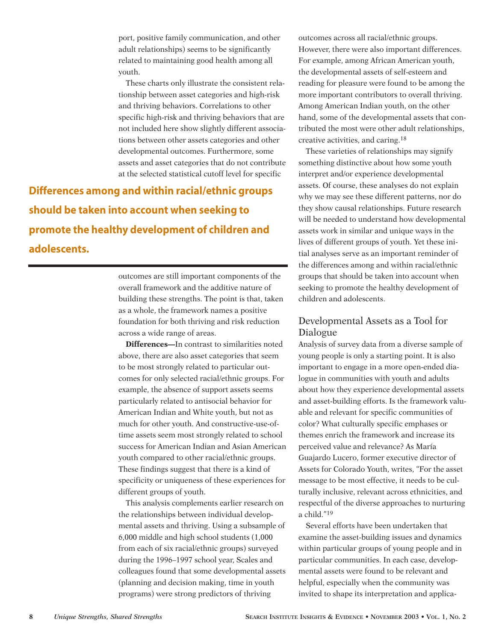port, positive family communication, and other adult relationships) seems to be significantly related to maintaining good health among all youth.

These charts only illustrate the consistent relationship between asset categories and high-risk and thriving behaviors. Correlations to other specific high-risk and thriving behaviors that are not included here show slightly different associations between other assets categories and other developmental outcomes. Furthermore, some assets and asset categories that do not contribute at the selected statistical cutoff level for specific

**Differences among and within racial/ethnic groups should be taken into account when seeking to promote the healthy development of children and adolescents.**

> outcomes are still important components of the overall framework and the additive nature of building these strengths. The point is that, taken as a whole, the framework names a positive foundation for both thriving and risk reduction across a wide range of areas.

**Differences—**In contrast to similarities noted above, there are also asset categories that seem to be most strongly related to particular outcomes for only selected racial/ethnic groups. For example, the absence of support assets seems particularly related to antisocial behavior for American Indian and White youth, but not as much for other youth. And constructive-use-oftime assets seem most strongly related to school success for American Indian and Asian American youth compared to other racial/ethnic groups. These findings suggest that there is a kind of specificity or uniqueness of these experiences for different groups of youth.

This analysis complements earlier research on the relationships between individual developmental assets and thriving. Using a subsample of 6,000 middle and high school students (1,000 from each of six racial/ethnic groups) surveyed during the 1996–1997 school year, Scales and colleagues found that some developmental assets (planning and decision making, time in youth programs) were strong predictors of thriving

outcomes across all racial/ethnic groups. However, there were also important differences. For example, among African American youth, the developmental assets of self-esteem and reading for pleasure were found to be among the more important contributors to overall thriving. Among American Indian youth, on the other hand, some of the developmental assets that contributed the most were other adult relationships, creative activities, and caring.18

These varieties of relationships may signify something distinctive about how some youth interpret and/or experience developmental assets. Of course, these analyses do not explain why we may see these different patterns, nor do they show causal relationships. Future research will be needed to understand how developmental assets work in similar and unique ways in the lives of different groups of youth. Yet these initial analyses serve as an important reminder of the differences among and within racial/ethnic groups that should be taken into account when seeking to promote the healthy development of children and adolescents.

### Developmental Assets as a Tool for Dialogue

Analysis of survey data from a diverse sample of young people is only a starting point. It is also important to engage in a more open-ended dialogue in communities with youth and adults about how they experience developmental assets and asset-building efforts. Is the framework valuable and relevant for specific communities of color? What culturally specific emphases or themes enrich the framework and increase its perceived value and relevance? As María Guajardo Lucero, former executive director of Assets for Colorado Youth, writes, "For the asset message to be most effective, it needs to be culturally inclusive, relevant across ethnicities, and respectful of the diverse approaches to nurturing a child."19

Several efforts have been undertaken that examine the asset-building issues and dynamics within particular groups of young people and in particular communities. In each case, developmental assets were found to be relevant and helpful, especially when the community was invited to shape its interpretation and applica-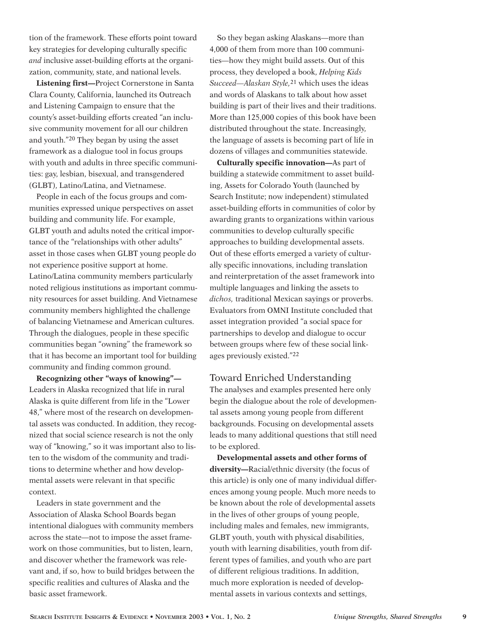tion of the framework. These efforts point toward key strategies for developing culturally specific *and* inclusive asset-building efforts at the organization, community, state, and national levels.

**Listening first—**Project Cornerstone in Santa Clara County, California, launched its Outreach and Listening Campaign to ensure that the county's asset-building efforts created "an inclusive community movement for all our children and youth."20 They began by using the asset framework as a dialogue tool in focus groups with youth and adults in three specific communities: gay, lesbian, bisexual, and transgendered (GLBT), Latino/Latina, and Vietnamese.

People in each of the focus groups and communities expressed unique perspectives on asset building and community life. For example, GLBT youth and adults noted the critical importance of the "relationships with other adults" asset in those cases when GLBT young people do not experience positive support at home. Latino/Latina community members particularly noted religious institutions as important community resources for asset building. And Vietnamese community members highlighted the challenge of balancing Vietnamese and American cultures. Through the dialogues, people in these specific communities began "owning" the framework so that it has become an important tool for building community and finding common ground.

**Recognizing other "ways of knowing"—** Leaders in Alaska recognized that life in rural Alaska is quite different from life in the "Lower 48," where most of the research on developmental assets was conducted. In addition, they recognized that social science research is not the only way of "knowing," so it was important also to listen to the wisdom of the community and traditions to determine whether and how developmental assets were relevant in that specific context.

Leaders in state government and the Association of Alaska School Boards began intentional dialogues with community members across the state—not to impose the asset framework on those communities, but to listen, learn, and discover whether the framework was relevant and, if so, how to build bridges between the specific realities and cultures of Alaska and the basic asset framework.

So they began asking Alaskans—more than 4,000 of them from more than 100 communities—how they might build assets. Out of this process, they developed a book, *Helping Kids Succeed—Alaskan Style,*21 which uses the ideas and words of Alaskans to talk about how asset building is part of their lives and their traditions. More than 125,000 copies of this book have been distributed throughout the state. Increasingly, the language of assets is becoming part of life in dozens of villages and communities statewide.

**Culturally specific innovation—**As part of building a statewide commitment to asset building, Assets for Colorado Youth (launched by Search Institute; now independent) stimulated asset-building efforts in communities of color by awarding grants to organizations within various communities to develop culturally specific approaches to building developmental assets. Out of these efforts emerged a variety of culturally specific innovations, including translation and reinterpretation of the asset framework into multiple languages and linking the assets to *dichos,* traditional Mexican sayings or proverbs. Evaluators from OMNI Institute concluded that asset integration provided "a social space for partnerships to develop and dialogue to occur between groups where few of these social linkages previously existed."22

### Toward Enriched Understanding

The analyses and examples presented here only begin the dialogue about the role of developmental assets among young people from different backgrounds. Focusing on developmental assets leads to many additional questions that still need to be explored.

**Developmental assets and other forms of diversity—**Racial/ethnic diversity (the focus of this article) is only one of many individual differences among young people. Much more needs to be known about the role of developmental assets in the lives of other groups of young people, including males and females, new immigrants, GLBT youth, youth with physical disabilities, youth with learning disabilities, youth from different types of families, and youth who are part of different religious traditions. In addition, much more exploration is needed of developmental assets in various contexts and settings,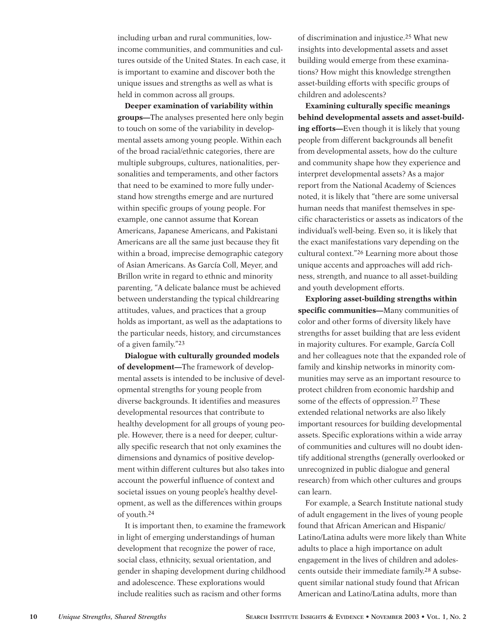including urban and rural communities, lowincome communities, and communities and cultures outside of the United States. In each case, it is important to examine and discover both the unique issues and strengths as well as what is held in common across all groups.

**Deeper examination of variability within groups—**The analyses presented here only begin to touch on some of the variability in developmental assets among young people. Within each of the broad racial/ethnic categories, there are multiple subgroups, cultures, nationalities, personalities and temperaments, and other factors that need to be examined to more fully understand how strengths emerge and are nurtured within specific groups of young people. For example, one cannot assume that Korean Americans, Japanese Americans, and Pakistani Americans are all the same just because they fit within a broad, imprecise demographic category of Asian Americans. As García Coll, Meyer, and Brillon write in regard to ethnic and minority parenting, "A delicate balance must be achieved between understanding the typical childrearing attitudes, values, and practices that a group holds as important, as well as the adaptations to the particular needs, history, and circumstances of a given family."23

**Dialogue with culturally grounded models of development—**The framework of developmental assets is intended to be inclusive of developmental strengths for young people from diverse backgrounds. It identifies and measures developmental resources that contribute to healthy development for all groups of young people. However, there is a need for deeper, culturally specific research that not only examines the dimensions and dynamics of positive development within different cultures but also takes into account the powerful influence of context and societal issues on young people's healthy development, as well as the differences within groups of youth.24

It is important then, to examine the framework in light of emerging understandings of human development that recognize the power of race, social class, ethnicity, sexual orientation, and gender in shaping development during childhood and adolescence. These explorations would include realities such as racism and other forms

of discrimination and injustice.25 What new insights into developmental assets and asset building would emerge from these examinations? How might this knowledge strengthen asset-building efforts with specific groups of children and adolescents?

**Examining culturally specific meanings behind developmental assets and asset-building efforts—**Even though it is likely that young people from different backgrounds all benefit from developmental assets, how do the culture and community shape how they experience and interpret developmental assets? As a major report from the National Academy of Sciences noted, it is likely that "there are some universal human needs that manifest themselves in specific characteristics or assets as indicators of the individual's well-being. Even so, it is likely that the exact manifestations vary depending on the cultural context."26 Learning more about those unique accents and approaches will add richness, strength, and nuance to all asset-building and youth development efforts.

**Exploring asset-building strengths within specific communities—**Many communities of color and other forms of diversity likely have strengths for asset building that are less evident in majority cultures. For example, García Coll and her colleagues note that the expanded role of family and kinship networks in minority communities may serve as an important resource to protect children from economic hardship and some of the effects of oppression.27 These extended relational networks are also likely important resources for building developmental assets. Specific explorations within a wide array of communities and cultures will no doubt identify additional strengths (generally overlooked or unrecognized in public dialogue and general research) from which other cultures and groups can learn.

For example, a Search Institute national study of adult engagement in the lives of young people found that African American and Hispanic/ Latino/Latina adults were more likely than White adults to place a high importance on adult engagement in the lives of children and adolescents outside their immediate family.28 A subsequent similar national study found that African American and Latino/Latina adults, more than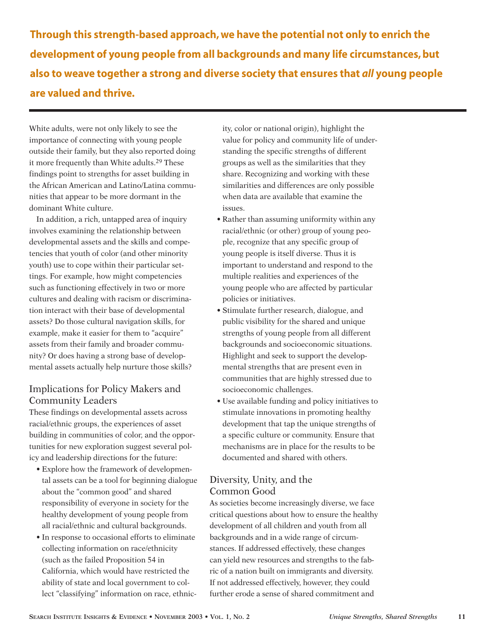**Through this strength-based approach, we have the potential not only to enrich the development of young people from all backgrounds and many life circumstances, but also to weave together a strong and diverse society that ensures that** *all* **young people are valued and thrive.**

White adults, were not only likely to see the importance of connecting with young people outside their family, but they also reported doing it more frequently than White adults.29 These findings point to strengths for asset building in the African American and Latino/Latina communities that appear to be more dormant in the dominant White culture.

In addition, a rich, untapped area of inquiry involves examining the relationship between developmental assets and the skills and competencies that youth of color (and other minority youth) use to cope within their particular settings. For example, how might competencies such as functioning effectively in two or more cultures and dealing with racism or discrimination interact with their base of developmental assets? Do those cultural navigation skills, for example, make it easier for them to "acquire" assets from their family and broader community? Or does having a strong base of developmental assets actually help nurture those skills?

# Implications for Policy Makers and Community Leaders

These findings on developmental assets across racial/ethnic groups, the experiences of asset building in communities of color, and the opportunities for new exploration suggest several policy and leadership directions for the future:

- Explore how the framework of developmental assets can be a tool for beginning dialogue about the "common good" and shared responsibility of everyone in society for the healthy development of young people from all racial/ethnic and cultural backgrounds.
- In response to occasional efforts to eliminate collecting information on race/ethnicity (such as the failed Proposition 54 in California, which would have restricted the ability of state and local government to collect "classifying" information on race, ethnic-

ity, color or national origin), highlight the value for policy and community life of understanding the specific strengths of different groups as well as the similarities that they share. Recognizing and working with these similarities and differences are only possible when data are available that examine the issues.

- Rather than assuming uniformity within any racial/ethnic (or other) group of young people, recognize that any specific group of young people is itself diverse. Thus it is important to understand and respond to the multiple realities and experiences of the young people who are affected by particular policies or initiatives.
- Stimulate further research, dialogue, and public visibility for the shared and unique strengths of young people from all different backgrounds and socioeconomic situations. Highlight and seek to support the developmental strengths that are present even in communities that are highly stressed due to socioeconomic challenges.
- Use available funding and policy initiatives to stimulate innovations in promoting healthy development that tap the unique strengths of a specific culture or community. Ensure that mechanisms are in place for the results to be documented and shared with others.

# Diversity, Unity, and the Common Good

As societies become increasingly diverse, we face critical questions about how to ensure the healthy development of all children and youth from all backgrounds and in a wide range of circumstances. If addressed effectively, these changes can yield new resources and strengths to the fabric of a nation built on immigrants and diversity. If not addressed effectively, however, they could further erode a sense of shared commitment and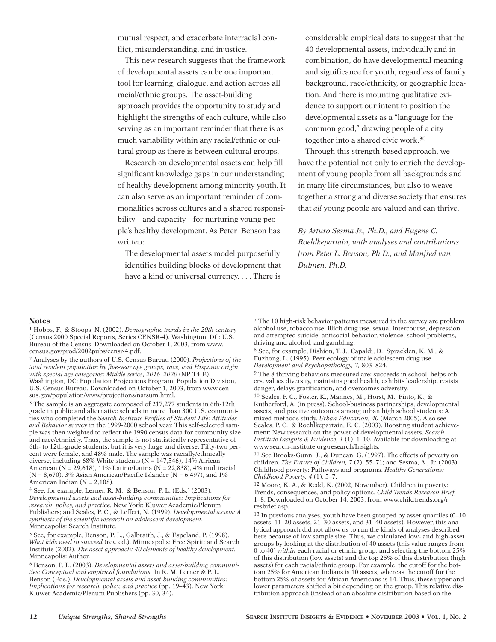mutual respect, and exacerbate interracial conflict, misunderstanding, and injustice.

This new research suggests that the framework of developmental assets can be one important tool for learning, dialogue, and action across all racial/ethnic groups. The asset-building approach provides the opportunity to study and highlight the strengths of each culture, while also serving as an important reminder that there is as much variability within any racial/ethnic or cultural group as there is between cultural groups.

Research on developmental assets can help fill significant knowledge gaps in our understanding of healthy development among minority youth. It can also serve as an important reminder of commonalities across cultures and a shared responsibility—and capacity—for nurturing young people's healthy development. As Peter Benson has written:

The developmental assets model purposefully identifies building blocks of development that have a kind of universal currency. . . . There is

considerable empirical data to suggest that the 40 developmental assets, individually and in combination, do have developmental meaning and significance for youth, regardless of family background, race/ethnicity, or geographic location. And there is mounting qualitative evidence to support our intent to position the developmental assets as a "language for the common good," drawing people of a city together into a shared civic work.30

Through this strength-based approach, we have the potential not only to enrich the development of young people from all backgrounds and in many life circumstances, but also to weave together a strong and diverse society that ensures that *all* young people are valued and can thrive.

*By Arturo Sesma Jr., Ph.D., and Eugene C. Roehlkepartain, with analyses and contributions from Peter L. Benson, Ph.D., and Manfred van Dulmen, Ph.D.*

#### **Notes**

1 Hobbs, F., & Stoops, N. (2002). *Demographic trends in the 20th century* (Census 2000 Special Reports, Series CENSR-4). Washington, DC: U.S. Bureau of the Census. Downloaded on October 1, 2003, from www. census.gov/prod/2002pubs/censr-4.pdf.

2 Analyses by the authors of U.S. Census Bureau (2000). *Projections of the total resident population by five-year age groups, race, and Hispanic origin with special age categories: Middle series, 2016–2020* (NP-T4-E). Washington, DC: Population Projections Program, Population Division, U.S. Census Bureau. Downloaded on October 1, 2003, from www.census.gov/population/www/projections/natsum.html.

3 The sample is an aggregate composed of 217,277 students in 6th-12th grade in public and alternative schools in more than 300 U.S. communities who completed the *Search Institute Profiles of Student Life: Attitudes and Behavior* survey in the 1999-2000 school year. This self-selected sample was then weighted to reflect the 1990 census data for community size and race/ethnicity. Thus, the sample is not statistically representative of 6th- to 12th-grade students, but it is very large and diverse. Fifty-two percent were female, and 48% male. The sample was racially/ethnically diverse, including 68% White students ( $N = 147,546$ ), 14% African American (N =  $29,618$ ), 11% Latino/Latina (N = 22,838), 4% multiracial  $(N = 8,670)$ , 3% Asian American/Pacific Islander (N = 6,497), and 1% American Indian ( $N = 2,108$ ).

4 See, for example, Lerner, R. M., & Benson, P. L. (Eds.) (2003). *Developmental assets and asset-building communities: Implications for research, policy, and practice.* New York: Kluwer Academic/Plenum Publishers; and Scales, P. C., & Leffert, N. (1999). *Developmental assets: A synthesis of the scientific research on adolescent development.* Minneapolis: Search Institute.

5 See, for example, Benson, P. L., Galbraith, J., & Espeland, P. (1998). *What kids need to succeed* (rev. ed.). Minneapolis: Free Spirit; and Search Institute (2002). *The asset approach: 40 elements of healthy development.* Minneapolis: Author.

6 Benson, P. L. (2003). *Developmental assets and asset-building communities: Conceptual and empirical foundations.* In R. M. Lerner & P. L. Benson (Eds.). *Developmental assets and asset-building communities: Implications for research, policy, and practice* (pp. 19–43). New York: Kluwer Academic/Plenum Publishers (pp. 30, 34).

7 The 10 high-risk behavior patterns measured in the survey are problem alcohol use, tobacco use, illicit drug use, sexual intercourse, depression and attempted suicide, antisocial behavior, violence, school problems, driving and alcohol, and gambling.

8 See, for example, Dishion, T. J., Capaldi, D., Spracklen, K. M., & Fuzhong, L. (1995). Peer ecology of male adolescent drug use. *Development and Psychopathology, 7,* 803–824.

9 The 8 thriving behaviors measured are: succeeds in school, helps others, values diversity, maintains good health, exhibits leadership, resists danger, delays gratification, and overcomes adversity.

 $^{10}$  Scales, P. C., Foster, K., Mannes, M., Horst, M., Pinto, K., & Rutherford, A. (in press). School-business partnerships, developmental assets, and positive outcomes among urban high school students: A mixed-methods study. *Urban Education, 40* (March 2005). Also see Scales, P. C., & Roehlkepartain, E. C. (2003). Boosting student achievement: New research on the power of developmental assets. *Search Institute Insights & Evidence, 1* (1), 1–10. Available for downloading at www.search-institute.org/research/Insights.

11 See Brooks-Gunn, J., & Duncan, G. (1997). The effects of poverty on children. *The Future of Children, 7* (2), 55–71; and Sesma, A., Jr. (2003). Childhood poverty: Pathways and programs. *Healthy Generations: Childhood Poverty, 4* (1), 5–7.

12 Moore, K. A., & Redd, K. (2002, November). Children in poverty: Trends, consequences, and policy options. *Child Trends Research Brief,* 1–8. Downloaded on October 14, 2003, from www.childtrends.org/r\_ resbrief.asp.

13 In previous analyses, youth have been grouped by asset quartiles (0–10 assets, 11–20 assets, 21–30 assets, and 31–40 assets). However, this analytical approach did not allow us to run the kinds of analyses described here because of low sample size. Thus, we calculated low- and high-asset groups by looking at the distribution of 40 assets (this value ranges from 0 to 40) *within* each racial or ethnic group, and selecting the bottom 25% of this distribution (low assets) and the top 25% of this distribution (high assets) for each racial/ethnic group. For example, the cutoff for the bottom 25% for American Indians is 10 assets, whereas the cutoff for the bottom 25% of assets for African Americans is 14. Thus, these upper and lower parameters shifted a bit depending on the group. This relative distribution approach (instead of an absolute distribution based on the